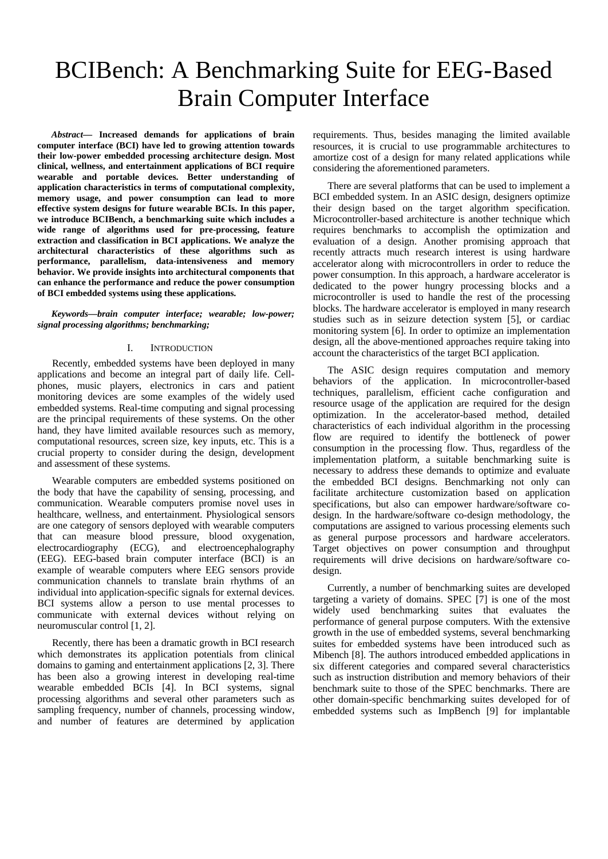# BCIBench: A Benchmarking Suite for EEG-Based Brain Computer Interface

*Abstract***— Increased demands for applications of brain computer interface (BCI) have led to growing attention towards their low-power embedded processing architecture design. Most clinical, wellness, and entertainment applications of BCI require wearable and portable devices. Better understanding of application characteristics in terms of computational complexity, memory usage, and power consumption can lead to more effective system designs for future wearable BCIs. In this paper, we introduce BCIBench, a benchmarking suite which includes a wide range of algorithms used for pre-processing, feature extraction and classification in BCI applications. We analyze the architectural characteristics of these algorithms such as performance, parallelism, data-intensiveness and memory behavior. We provide insights into architectural components that can enhance the performance and reduce the power consumption of BCI embedded systems using these applications.** 

*Keywords—brain computer interface; wearable; low-power; signal processing algorithms; benchmarking;* 

## I. INTRODUCTION

Recently, embedded systems have been deployed in many applications and become an integral part of daily life. Cellphones, music players, electronics in cars and patient monitoring devices are some examples of the widely used embedded systems. Real-time computing and signal processing are the principal requirements of these systems. On the other hand, they have limited available resources such as memory, computational resources, screen size, key inputs, etc. This is a crucial property to consider during the design, development and assessment of these systems.

Wearable computers are embedded systems positioned on the body that have the capability of sensing, processing, and communication. Wearable computers promise novel uses in healthcare, wellness, and entertainment. Physiological sensors are one category of sensors deployed with wearable computers that can measure blood pressure, blood oxygenation, electrocardiography (ECG), and electroencephalography (EEG). EEG-based brain computer interface (BCI) is an example of wearable computers where EEG sensors provide communication channels to translate brain rhythms of an individual into application-specific signals for external devices. BCI systems allow a person to use mental processes to communicate with external devices without relying on neuromuscular control [1, 2].

Recently, there has been a dramatic growth in BCI research which demonstrates its application potentials from clinical domains to gaming and entertainment applications [2, 3]. There has been also a growing interest in developing real-time wearable embedded BCIs [4]. In BCI systems, signal processing algorithms and several other parameters such as sampling frequency, number of channels, processing window, and number of features are determined by application

requirements. Thus, besides managing the limited available resources, it is crucial to use programmable architectures to amortize cost of a design for many related applications while considering the aforementioned parameters.

There are several platforms that can be used to implement a BCI embedded system. In an ASIC design, designers optimize their design based on the target algorithm specification. Microcontroller-based architecture is another technique which requires benchmarks to accomplish the optimization and evaluation of a design. Another promising approach that recently attracts much research interest is using hardware accelerator along with microcontrollers in order to reduce the power consumption. In this approach, a hardware accelerator is dedicated to the power hungry processing blocks and a microcontroller is used to handle the rest of the processing blocks. The hardware accelerator is employed in many research studies such as in seizure detection system [5], or cardiac monitoring system [6]. In order to optimize an implementation design, all the above-mentioned approaches require taking into account the characteristics of the target BCI application.

The ASIC design requires computation and memory behaviors of the application. In microcontroller-based techniques, parallelism, efficient cache configuration and resource usage of the application are required for the design optimization. In the accelerator-based method, detailed characteristics of each individual algorithm in the processing flow are required to identify the bottleneck of power consumption in the processing flow. Thus, regardless of the implementation platform, a suitable benchmarking suite is necessary to address these demands to optimize and evaluate the embedded BCI designs. Benchmarking not only can facilitate architecture customization based on application specifications, but also can empower hardware/software codesign. In the hardware/software co-design methodology, the computations are assigned to various processing elements such as general purpose processors and hardware accelerators. Target objectives on power consumption and throughput requirements will drive decisions on hardware/software codesign.

Currently, a number of benchmarking suites are developed targeting a variety of domains. SPEC [7] is one of the most widely used benchmarking suites that evaluates the performance of general purpose computers. With the extensive growth in the use of embedded systems, several benchmarking suites for embedded systems have been introduced such as Mibench [8]. The authors introduced embedded applications in six different categories and compared several characteristics such as instruction distribution and memory behaviors of their benchmark suite to those of the SPEC benchmarks. There are other domain-specific benchmarking suites developed for of embedded systems such as ImpBench [9] for implantable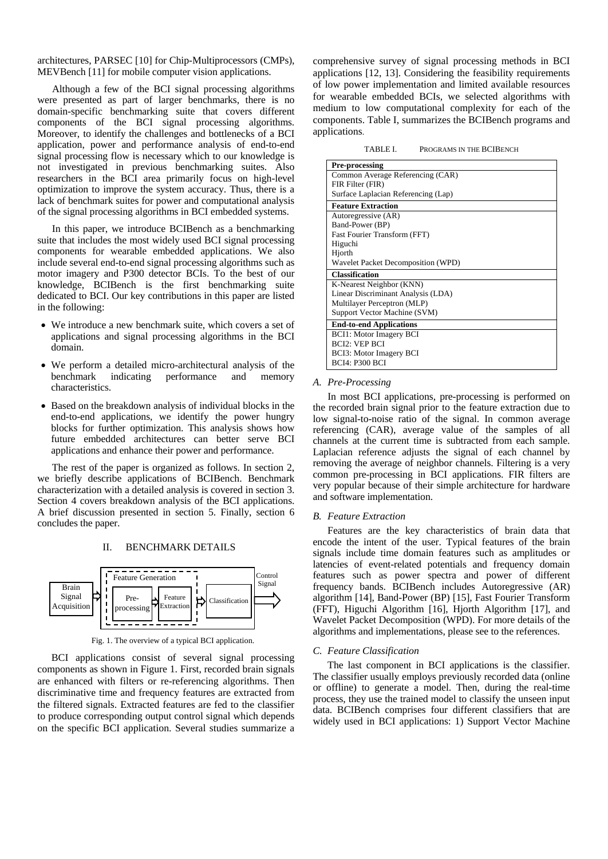architectures, PARSEC [10] for Chip-Multiprocessors (CMPs), MEVBench [11] for mobile computer vision applications.

Although a few of the BCI signal processing algorithms were presented as part of larger benchmarks, there is no domain-specific benchmarking suite that covers different components of the BCI signal processing algorithms. Moreover, to identify the challenges and bottlenecks of a BCI application, power and performance analysis of end-to-end signal processing flow is necessary which to our knowledge is not investigated in previous benchmarking suites. Also researchers in the BCI area primarily focus on high-level optimization to improve the system accuracy. Thus, there is a lack of benchmark suites for power and computational analysis of the signal processing algorithms in BCI embedded systems.

In this paper, we introduce BCIBench as a benchmarking suite that includes the most widely used BCI signal processing components for wearable embedded applications. We also include several end-to-end signal processing algorithms such as motor imagery and P300 detector BCIs. To the best of our knowledge, BCIBench is the first benchmarking suite dedicated to BCI. Our key contributions in this paper are listed in the following:

- We introduce a new benchmark suite, which covers a set of applications and signal processing algorithms in the BCI domain.
- We perform a detailed micro-architectural analysis of the benchmark indicating performance and memory characteristics.
- Based on the breakdown analysis of individual blocks in the end-to-end applications, we identify the power hungry blocks for further optimization. This analysis shows how future embedded architectures can better serve BCI applications and enhance their power and performance.

The rest of the paper is organized as follows. In section 2, we briefly describe applications of BCIBench. Benchmark characterization with a detailed analysis is covered in section 3. Section 4 covers breakdown analysis of the BCI applications. A brief discussion presented in section 5. Finally, section 6 concludes the paper.

#### II. BENCHMARK DETAILS



Fig. 1. The overview of a typical BCI application.

BCI applications consist of several signal processing components as shown in Figure 1. First, recorded brain signals are enhanced with filters or re-referencing algorithms. Then discriminative time and frequency features are extracted from the filtered signals. Extracted features are fed to the classifier to produce corresponding output control signal which depends on the specific BCI application. Several studies summarize a

comprehensive survey of signal processing methods in BCI applications [12, 13]. Considering the feasibility requirements of low power implementation and limited available resources for wearable embedded BCIs, we selected algorithms with medium to low computational complexity for each of the components. Table I, summarizes the BCIBench programs and applications.

TABLE I. PROGRAMS IN THE BCIBENCH

| <b>Pre-processing</b>               |
|-------------------------------------|
| Common Average Referencing (CAR)    |
| FIR Filter (FIR)                    |
| Surface Laplacian Referencing (Lap) |
| <b>Feature Extraction</b>           |
| Autoregressive (AR)                 |
| Band-Power (BP)                     |
| Fast Fourier Transform (FFT)        |
| Higuchi                             |
| Hjorth                              |
| Wavelet Packet Decomposition (WPD)  |
| <b>Classification</b>               |
| K-Nearest Neighbor (KNN)            |
| Linear Discriminant Analysis (LDA)  |
| Multilayer Perceptron (MLP)         |
| Support Vector Machine (SVM)        |
| <b>End-to-end Applications</b>      |
| <b>BCI1: Motor Imagery BCI</b>      |
| <b>BCI2: VEP BCI</b>                |
| <b>BCI3: Motor Imagery BCI</b>      |
| <b>BCI4: P300 BCI</b>               |

## *A. Pre-Processing*

In most BCI applications, pre-processing is performed on the recorded brain signal prior to the feature extraction due to low signal-to-noise ratio of the signal. In common average referencing (CAR), average value of the samples of all channels at the current time is subtracted from each sample. Laplacian reference adjusts the signal of each channel by removing the average of neighbor channels. Filtering is a very common pre-processing in BCI applications. FIR filters are very popular because of their simple architecture for hardware and software implementation.

#### *B. Feature Extraction*

Features are the key characteristics of brain data that encode the intent of the user. Typical features of the brain signals include time domain features such as amplitudes or latencies of event-related potentials and frequency domain features such as power spectra and power of different frequency bands. BCIBench includes Autoregressive (AR) algorithm [14], Band-Power (BP) [15], Fast Fourier Transform (FFT), Higuchi Algorithm [16], Hjorth Algorithm [17], and Wavelet Packet Decomposition (WPD). For more details of the algorithms and implementations, please see to the references.

#### *C. Feature Classification*

The last component in BCI applications is the classifier. The classifier usually employs previously recorded data (online or offline) to generate a model. Then, during the real-time process, they use the trained model to classify the unseen input data. BCIBench comprises four different classifiers that are widely used in BCI applications: 1) Support Vector Machine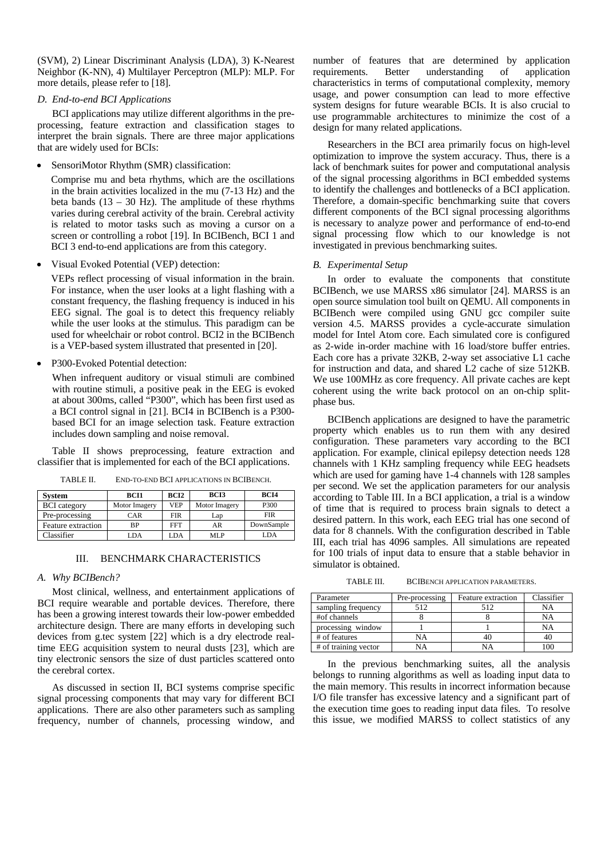(SVM), 2) Linear Discriminant Analysis (LDA), 3) K-Nearest Neighbor (K-NN), 4) Multilayer Perceptron (MLP): MLP. For more details, please refer to [18].

## *D. End-to-end BCI Applications*

BCI applications may utilize different algorithms in the preprocessing, feature extraction and classification stages to interpret the brain signals. There are three major applications that are widely used for BCIs:

SensoriMotor Rhythm (SMR) classification:

Comprise mu and beta rhythms, which are the oscillations in the brain activities localized in the mu (7-13 Hz) and the beta bands  $(13 - 30$  Hz). The amplitude of these rhythms varies during cerebral activity of the brain. Cerebral activity is related to motor tasks such as moving a cursor on a screen or controlling a robot [19]. In BCIBench, BCI 1 and BCI 3 end-to-end applications are from this category.

• Visual Evoked Potential (VEP) detection:

VEPs reflect processing of visual information in the brain. For instance, when the user looks at a light flashing with a constant frequency, the flashing frequency is induced in his EEG signal. The goal is to detect this frequency reliably while the user looks at the stimulus. This paradigm can be used for wheelchair or robot control. BCI2 in the BCIBench is a VEP-based system illustrated that presented in [20].

P300-Evoked Potential detection:

When infrequent auditory or visual stimuli are combined with routine stimuli, a positive peak in the EEG is evoked at about 300ms, called "P300", which has been first used as a BCI control signal in [21]. BCI4 in BCIBench is a P300 based BCI for an image selection task. Feature extraction includes down sampling and noise removal.

Table II shows preprocessing, feature extraction and classifier that is implemented for each of the BCI applications.

TABLE II. END-TO-END BCI APPLICATIONS IN BCIBENCH.

| <b>System</b>       | <b>BCI1</b>   | BCI <sub>2</sub> | <b>BCI3</b>   | <b>BCI4</b> |  |  |
|---------------------|---------------|------------------|---------------|-------------|--|--|
| <b>BCI</b> category | Motor Imagery | <b>VEP</b>       | Motor Imagery | P300        |  |  |
| Pre-processing      | CAR           | <b>FIR</b>       | Lap           | <b>FIR</b>  |  |  |
| Feature extraction  | <b>BP</b>     | FFT              | AR            | DownSample  |  |  |
| Classifier          | LDA           | LDA              | MI P          | LDA         |  |  |

#### III. BENCHMARK CHARACTERISTICS

#### *A. Why BCIBench?*

Most clinical, wellness, and entertainment applications of BCI require wearable and portable devices. Therefore, there has been a growing interest towards their low-power embedded architecture design. There are many efforts in developing such devices from g.tec system [22] which is a dry electrode realtime EEG acquisition system to neural dusts [23], which are tiny electronic sensors the size of dust particles scattered onto the cerebral cortex.

As discussed in section II, BCI systems comprise specific signal processing components that may vary for different BCI applications. There are also other parameters such as sampling frequency, number of channels, processing window, and number of features that are determined by application<br>requirements. Better understanding of application understanding characteristics in terms of computational complexity, memory usage, and power consumption can lead to more effective system designs for future wearable BCIs. It is also crucial to use programmable architectures to minimize the cost of a design for many related applications.

Researchers in the BCI area primarily focus on high-level optimization to improve the system accuracy. Thus, there is a lack of benchmark suites for power and computational analysis of the signal processing algorithms in BCI embedded systems to identify the challenges and bottlenecks of a BCI application. Therefore, a domain-specific benchmarking suite that covers different components of the BCI signal processing algorithms is necessary to analyze power and performance of end-to-end signal processing flow which to our knowledge is not investigated in previous benchmarking suites.

## *B. Experimental Setup*

In order to evaluate the components that constitute BCIBench, we use MARSS x86 simulator [24]. MARSS is an open source simulation tool built on QEMU. All components in BCIBench were compiled using GNU gcc compiler suite version 4.5. MARSS provides a cycle-accurate simulation model for Intel Atom core. Each simulated core is configured as 2-wide in-order machine with 16 load/store buffer entries. Each core has a private 32KB, 2-way set associative L1 cache for instruction and data, and shared L2 cache of size 512KB. We use 100MHz as core frequency. All private caches are kept coherent using the write back protocol on an on-chip splitphase bus.

BCIBench applications are designed to have the parametric property which enables us to run them with any desired configuration. These parameters vary according to the BCI application. For example, clinical epilepsy detection needs 128 channels with 1 KHz sampling frequency while EEG headsets which are used for gaming have 1-4 channels with 128 samples per second. We set the application parameters for our analysis according to Table III. In a BCI application, a trial is a window of time that is required to process brain signals to detect a desired pattern. In this work, each EEG trial has one second of data for 8 channels. With the configuration described in Table III, each trial has 4096 samples. All simulations are repeated for 100 trials of input data to ensure that a stable behavior in simulator is obtained.

TABLE III. BCIBENCH APPLICATION PARAMETERS.

| Parameter            | Pre-processing | Feature extraction | Classifier |
|----------------------|----------------|--------------------|------------|
| sampling frequency   | 512            | 512                | NΑ         |
| #of channels         |                |                    | NΑ         |
| processing window    |                |                    | NΑ         |
| # of features        | NΑ             | 40                 |            |
| # of training vector | NΑ             | NΑ                 |            |

In the previous benchmarking suites, all the analysis belongs to running algorithms as well as loading input data to the main memory. This results in incorrect information because I/O file transfer has excessive latency and a significant part of the execution time goes to reading input data files. To resolve this issue, we modified MARSS to collect statistics of any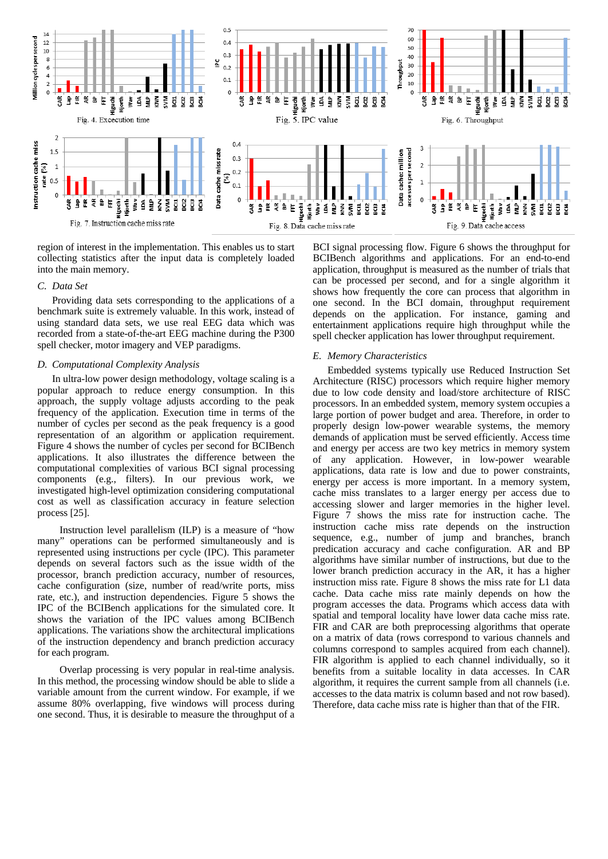

region of interest in the implementation. This enables us to start collecting statistics after the input data is completely loaded into the main memory.

## *C. Data Set*

Providing data sets corresponding to the applications of a benchmark suite is extremely valuable. In this work, instead of using standard data sets, we use real EEG data which was recorded from a state-of-the-art EEG machine during the P300 spell checker, motor imagery and VEP paradigms.

## *D. Computational Complexity Analysis*

In ultra-low power design methodology, voltage scaling is a popular approach to reduce energy consumption. In this approach, the supply voltage adjusts according to the peak frequency of the application. Execution time in terms of the number of cycles per second as the peak frequency is a good representation of an algorithm or application requirement. Figure 4 shows the number of cycles per second for BCIBench applications. It also illustrates the difference between the computational complexities of various BCI signal processing components (e.g., filters). In our previous work, we investigated high-level optimization considering computational cost as well as classification accuracy in feature selection process [25].

 Instruction level parallelism (ILP) is a measure of "how many" operations can be performed simultaneously and is represented using instructions per cycle (IPC). This parameter depends on several factors such as the issue width of the processor, branch prediction accuracy, number of resources, cache configuration (size, number of read/write ports, miss rate, etc.), and instruction dependencies. Figure 5 shows the IPC of the BCIBench applications for the simulated core. It shows the variation of the IPC values among BCIBench applications. The variations show the architectural implications of the instruction dependency and branch prediction accuracy for each program.

 Overlap processing is very popular in real-time analysis. In this method, the processing window should be able to slide a variable amount from the current window. For example, if we assume 80% overlapping, five windows will process during one second. Thus, it is desirable to measure the throughput of a

BCI signal processing flow. Figure 6 shows the throughput for BCIBench algorithms and applications. For an end-to-end application, throughput is measured as the number of trials that can be processed per second, and for a single algorithm it shows how frequently the core can process that algorithm in one second. In the BCI domain, throughput requirement depends on the application. For instance, gaming and entertainment applications require high throughput while the spell checker application has lower throughput requirement.

#### *E. Memory Characteristics*

Embedded systems typically use Reduced Instruction Set Architecture (RISC) processors which require higher memory due to low code density and load/store architecture of RISC processors. In an embedded system, memory system occupies a large portion of power budget and area. Therefore, in order to properly design low-power wearable systems, the memory demands of application must be served efficiently. Access time and energy per access are two key metrics in memory system of any application. However, in low-power wearable applications, data rate is low and due to power constraints, energy per access is more important. In a memory system, cache miss translates to a larger energy per access due to accessing slower and larger memories in the higher level. Figure 7 shows the miss rate for instruction cache. The instruction cache miss rate depends on the instruction sequence, e.g., number of jump and branches, branch predication accuracy and cache configuration. AR and BP algorithms have similar number of instructions, but due to the lower branch prediction accuracy in the AR, it has a higher instruction miss rate. Figure 8 shows the miss rate for L1 data cache. Data cache miss rate mainly depends on how the program accesses the data. Programs which access data with spatial and temporal locality have lower data cache miss rate. FIR and CAR are both preprocessing algorithms that operate on a matrix of data (rows correspond to various channels and columns correspond to samples acquired from each channel). FIR algorithm is applied to each channel individually, so it benefits from a suitable locality in data accesses. In CAR algorithm, it requires the current sample from all channels (i.e. accesses to the data matrix is column based and not row based). Therefore, data cache miss rate is higher than that of the FIR.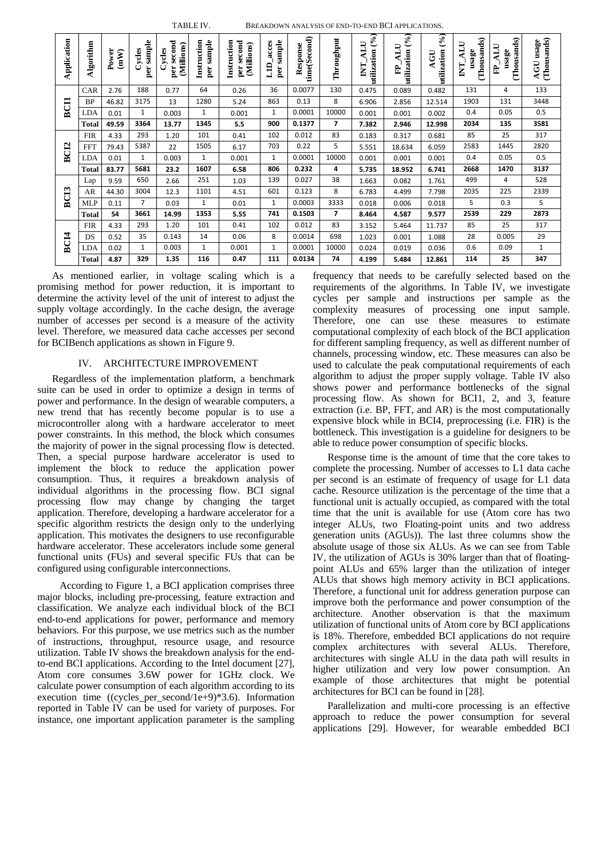|                  | TABLE IV.<br>BREAKDOWN ANALYSIS OF END-TO-END BCI APPLICATIONS. |               |                         |                                    |                           |                                         |                           |                          |                |                                      |                                 |                            |                                  |                                  |                             |
|------------------|-----------------------------------------------------------------|---------------|-------------------------|------------------------------------|---------------------------|-----------------------------------------|---------------------------|--------------------------|----------------|--------------------------------------|---------------------------------|----------------------------|----------------------------------|----------------------------------|-----------------------------|
| Application      | <b>Algorithm</b>                                                | Power<br>(mW) | sample<br>Cycles<br>per | per second<br>(Millions)<br>Cycles | per sample<br>Instruction | Instruction<br>per second<br>(Millions) | per sample<br>acces<br>ПT | time(Second)<br>Response | Throughput     | utilization (%)<br><b>ALU</b><br>INT | utilization $(9/6)$<br>ALU<br>È | (96)<br>utilization<br>AGU | (Thousands)<br>ALU<br>usage<br>E | (Thousands)<br>ALU<br>usage<br>È | (Thousands)<br>usage<br>AGU |
| BCII             | CAR                                                             | 2.76          | 188                     | 0.77                               | 64                        | 0.26                                    | 36                        | 0.0077                   | 130            | 0.475                                | 0.089                           | 0.482                      | 131                              | 4                                | 133                         |
|                  | <b>BP</b>                                                       | 46.82         | 3175                    | 13                                 | 1280                      | 5.24                                    | 863                       | 0.13                     | 8              | 6.906                                | 2.856                           | 12.514                     | 1903                             | 131                              | 3448                        |
|                  | LDA                                                             | 0.01          | $\mathbf{1}$            | 0.003                              | $\mathbf{1}$              | 0.001                                   | $\mathbf{1}$              | 0.0001                   | 10000          | 0.001                                | 0.001                           | 0.002                      | 0.4                              | 0.05                             | 0.5                         |
|                  | <b>Total</b>                                                    | 49.59         | 3364                    | 13.77                              | 1345                      | 5.5                                     | 900                       | 0.1377                   | $\overline{ }$ | 7.382                                | 2.946                           | 12.998                     | 2034                             | 135                              | 3581                        |
| BC <sub>12</sub> | <b>FIR</b>                                                      | 4.33          | 293                     | 1.20                               | 101                       | 0.41                                    | 102                       | 0.012                    | 83             | 0.183                                | 0.317                           | 0.681                      | 85                               | 25                               | 317                         |
|                  | <b>FFT</b>                                                      | 79.43         | 5387                    | 22                                 | 1505                      | 6.17                                    | 703                       | 0.22                     | 5              | 5.551                                | 18.634                          | 6.059                      | 2583                             | 1445                             | 2820                        |
|                  | <b>LDA</b>                                                      | 0.01          | $\mathbf{1}$            | 0.003                              | $\mathbf{1}$              | 0.001                                   | $\mathbf{1}$              | 0.0001                   | 10000          | 0.001                                | 0.001                           | 0.001                      | 0.4                              | 0.05                             | 0.5                         |
|                  | <b>Total</b>                                                    | 83.77         | 5681                    | 23.2                               | 1607                      | 6.58                                    | 806                       | 0.232                    | 4              | 5.735                                | 18.952                          | 6.741                      | 2668                             | 1470                             | 3137                        |
| BCI3             | Lap                                                             | 9.59          | 650                     | 2.66                               | 251                       | 1.03                                    | 139                       | 0.027                    | 38             | 1.663                                | 0.082                           | 1.761                      | 499                              | 4                                | 528                         |
|                  | AR                                                              | 44.30         | 3004                    | 12.3                               | 1101                      | 4.51                                    | 601                       | 0.123                    | 8              | 6.783                                | 4.499                           | 7.798                      | 2035                             | 225                              | 2339                        |
|                  | <b>MLP</b>                                                      | 0.11          | $\overline{7}$          | 0.03                               | $\mathbf{1}$              | 0.01                                    | $\mathbf{1}$              | 0.0003                   | 3333           | 0.018                                | 0.006                           | 0.018                      | 5                                | 0.3                              | 5                           |
|                  | Total                                                           | 54            | 3661                    | 14.99                              | 1353                      | 5.55                                    | 741                       | 0.1503                   | $\overline{ }$ | 8.464                                | 4.587                           | 9.577                      | 2539                             | 229                              | 2873                        |
| BC <sub>14</sub> | <b>FIR</b>                                                      | 4.33          | 293                     | 1.20                               | 101                       | 0.41                                    | 102                       | 0.012                    | 83             | 3.152                                | 5.464                           | 11.737                     | 85                               | 25                               | 317                         |
|                  | DS                                                              | 0.52          | 35                      | 0.143                              | 14                        | 0.06                                    | 8                         | 0.0014                   | 698            | 1.023                                | 0.001                           | 1.088                      | 28                               | 0.005                            | 29                          |
|                  | LDA                                                             | 0.02          | $\mathbf{1}$            | 0.003                              | 1                         | 0.001                                   | 1                         | 0.0001                   | 10000          | 0.024                                | 0.019                           | 0.036                      | 0.6                              | 0.09                             | $\mathbf{1}$                |
|                  | <b>Total</b>                                                    | 4.87          | 329                     | 1.35                               | 116                       | 0.47                                    | 111                       | 0.0134                   | 74             | 4.199                                | 5.484                           | 12.861                     | 114                              | 25                               | 347                         |

As mentioned earlier, in voltage scaling which is a promising method for power reduction, it is important to determine the activity level of the unit of interest to adjust the supply voltage accordingly. In the cache design, the average number of accesses per second is a measure of the activity level. Therefore, we measured data cache accesses per second for BCIBench applications as shown in Figure 9.

## IV. ARCHITECTURE IMPROVEMENT

Regardless of the implementation platform, a benchmark suite can be used in order to optimize a design in terms of power and performance. In the design of wearable computers, a new trend that has recently become popular is to use a microcontroller along with a hardware accelerator to meet power constraints. In this method, the block which consumes the majority of power in the signal processing flow is detected. Then, a special purpose hardware accelerator is used to implement the block to reduce the application power consumption. Thus, it requires a breakdown analysis of individual algorithms in the processing flow. BCI signal processing flow may change by changing the target application. Therefore, developing a hardware accelerator for a specific algorithm restricts the design only to the underlying application. This motivates the designers to use reconfigurable hardware accelerator. These accelerators include some general functional units (FUs) and several specific FUs that can be configured using configurable interconnections.

 According to Figure 1, a BCI application comprises three major blocks, including pre-processing, feature extraction and classification. We analyze each individual block of the BCI end-to-end applications for power, performance and memory behaviors. For this purpose, we use metrics such as the number of instructions, throughput, resource usage, and resource utilization. Table IV shows the breakdown analysis for the endto-end BCI applications. According to the Intel document [27], Atom core consumes 3.6W power for 1GHz clock. We calculate power consumption of each algorithm according to its execution time ((cycles\_per\_second/1e+9)\*3.6). Information reported in Table IV can be used for variety of purposes. For instance, one important application parameter is the sampling

frequency that needs to be carefully selected based on the requirements of the algorithms. In Table IV, we investigate cycles per sample and instructions per sample as the complexity measures of processing one input sample. Therefore, one can use these measures to estimate computational complexity of each block of the BCI application for different sampling frequency, as well as different number of channels, processing window, etc. These measures can also be used to calculate the peak computational requirements of each algorithm to adjust the proper supply voltage. Table IV also shows power and performance bottlenecks of the signal processing flow. As shown for BCI1, 2, and 3, feature extraction (i.e. BP, FFT, and AR) is the most computationally expensive block while in BCI4, preprocessing (i.e. FIR) is the bottleneck. This investigation is a guideline for designers to be able to reduce power consumption of specific blocks.

Response time is the amount of time that the core takes to complete the processing. Number of accesses to L1 data cache per second is an estimate of frequency of usage for L1 data cache. Resource utilization is the percentage of the time that a functional unit is actually occupied, as compared with the total time that the unit is available for use (Atom core has two integer ALUs, two Floating-point units and two address generation units (AGUs)). The last three columns show the absolute usage of those six ALUs. As we can see from Table IV, the utilization of AGUs is 30% larger than that of floatingpoint ALUs and 65% larger than the utilization of integer ALUs that shows high memory activity in BCI applications. Therefore, a functional unit for address generation purpose can improve both the performance and power consumption of the architecture. Another observation is that the maximum utilization of functional units of Atom core by BCI applications is 18%. Therefore, embedded BCI applications do not require complex architectures with several ALUs. Therefore, architectures with single ALU in the data path will results in higher utilization and very low power consumption. An example of those architectures that might be potential architectures for BCI can be found in [28].

Parallelization and multi-core processing is an effective approach to reduce the power consumption for several applications [29]. However, for wearable embedded BCI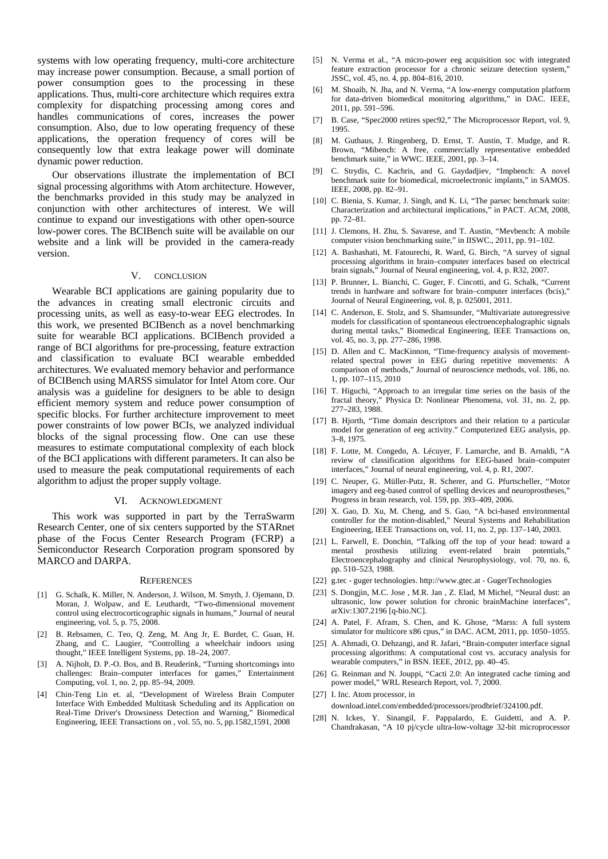systems with low operating frequency, multi-core architecture may increase power consumption. Because, a small portion of power consumption goes to the processing in these applications. Thus, multi-core architecture which requires extra complexity for dispatching processing among cores and handles communications of cores, increases the power consumption. Also, due to low operating frequency of these applications, the operation frequency of cores will be consequently low that extra leakage power will dominate dynamic power reduction.

Our observations illustrate the implementation of BCI signal processing algorithms with Atom architecture. However, the benchmarks provided in this study may be analyzed in conjunction with other architectures of interest. We will continue to expand our investigations with other open-source low-power cores. The BCIBench suite will be available on our website and a link will be provided in the camera-ready version.

## V. CONCLUSION

Wearable BCI applications are gaining popularity due to the advances in creating small electronic circuits and processing units, as well as easy-to-wear EEG electrodes. In this work, we presented BCIBench as a novel benchmarking suite for wearable BCI applications. BCIBench provided a range of BCI algorithms for pre-processing, feature extraction and classification to evaluate BCI wearable embedded architectures. We evaluated memory behavior and performance of BCIBench using MARSS simulator for Intel Atom core. Our analysis was a guideline for designers to be able to design efficient memory system and reduce power consumption of specific blocks. For further architecture improvement to meet power constraints of low power BCIs, we analyzed individual blocks of the signal processing flow. One can use these measures to estimate computational complexity of each block of the BCI applications with different parameters. It can also be used to measure the peak computational requirements of each algorithm to adjust the proper supply voltage.

#### VI. ACKNOWLEDGMENT

This work was supported in part by the TerraSwarm Research Center, one of six centers supported by the STARnet phase of the Focus Center Research Program (FCRP) a Semiconductor Research Corporation program sponsored by MARCO and DARPA.

#### **REFERENCES**

- [1] G. Schalk, K. Miller, N. Anderson, J. Wilson, M. Smyth, J. Ojemann, D. Moran, J. Wolpaw, and E. Leuthardt, "Two-dimensional movement control using electrocorticographic signals in humans," Journal of neural engineering, vol. 5, p. 75, 2008.
- [2] B. Rebsamen, C. Teo, Q. Zeng, M. Ang Jr, E. Burdet, C. Guan, H. Zhang, and C. Laugier, "Controlling a wheelchair indoors using thought," IEEE Intelligent Systems, pp. 18–24, 2007.
- [3] A. Nijholt, D. P.-O. Bos, and B. Reuderink, "Turning shortcomings into challenges: Brain–computer interfaces for games," Entertainment Computing, vol. 1, no. 2, pp. 85–94, 2009.
- [4] Chin-Teng Lin et. al, "Development of Wireless Brain Computer Interface With Embedded Multitask Scheduling and its Application on Real-Time Driver's Drowsiness Detection and Warning," Biomedical Engineering, IEEE Transactions on , vol. 55, no. 5, pp.1582,1591, 2008
- [5] N. Verma et al., "A micro-power eeg acquisition soc with integrated feature extraction processor for a chronic seizure detection system," JSSC, vol. 45, no. 4, pp. 804–816, 2010.
- [6] M. Shoaib, N. Jha, and N. Verma, "A low-energy computation platform for data-driven biomedical monitoring algorithms," in DAC. IEEE, 2011, pp. 591–596.
- [7] B. Case, "Spec2000 retires spec92," The Microprocessor Report, vol. 9, 1995.
- [8] M. Guthaus, J. Ringenberg, D. Ernst, T. Austin, T. Mudge, and R. Brown, "Mibench: A free, commercially representative embedded benchmark suite," in WWC. IEEE, 2001, pp. 3–14.
- C. Strydis, C. Kachris, and G. Gaydadjiev, "Impbench: A novel benchmark suite for biomedical, microelectronic implants," in SAMOS. IEEE, 2008, pp. 82–91.
- [10] C. Bienia, S. Kumar, J. Singh, and K. Li, "The parsec benchmark suite: Characterization and architectural implications," in PACT. ACM, 2008, pp. 72–81.
- [11] J. Clemons, H. Zhu, S. Savarese, and T. Austin, "Mevbench: A mobile computer vision benchmarking suite," in IISWC., 2011, pp. 91–102.
- [12] A. Bashashati, M. Fatourechi, R. Ward, G. Birch, "A survey of signal processing algorithms in brain–computer interfaces based on electrical brain signals," Journal of Neural engineering, vol. 4, p. R32, 2007.
- [13] P. Brunner, L. Bianchi, C. Guger, F. Cincotti, and G. Schalk, "Current trends in hardware and software for brain–computer interfaces (bcis)," Journal of Neural Engineering, vol. 8, p. 025001, 2011.
- [14] C. Anderson, E. Stolz, and S. Shamsunder, "Multivariate autoregressive models for classification of spontaneous electroencephalographic signals during mental tasks," Biomedical Engineering, IEEE Transactions on, vol. 45, no. 3, pp. 277–286, 1998.
- [15] D. Allen and C. MacKinnon, "Time-frequency analysis of movementrelated spectral power in EEG during repetitive movements: A comparison of methods," Journal of neuroscience methods, vol. 186, no. 1, pp. 107–115, 2010
- [16] T. Higuchi, "Approach to an irregular time series on the basis of the fractal theory," Physica D: Nonlinear Phenomena, vol. 31, no. 2, pp. 277–283, 1988.
- [17] B. Hjorth, "Time domain descriptors and their relation to a particular model for generation of eeg activity." Computerized EEG analysis, pp. 3–8, 1975.
- [18] F. Lotte, M. Congedo, A. Lécuyer, F. Lamarche, and B. Arnaldi, "A review of classification algorithms for EEG-based brain–computer interfaces," Journal of neural engineering, vol. 4, p. R1, 2007.
- [19] C. Neuper, G. Müller-Putz, R. Scherer, and G. Pfurtscheller, "Motor imagery and eeg-based control of spelling devices and neuroprostheses," Progress in brain research, vol. 159, pp. 393–409, 2006.
- [20] X. Gao, D. Xu, M. Cheng, and S. Gao, "A bci-based environmental controller for the motion-disabled," Neural Systems and Rehabilitation Engineering, IEEE Transactions on, vol. 11, no. 2, pp. 137–140, 2003.
- [21] L. Farwell, E. Donchin, "Talking off the top of your head: toward a mental prosthesis utilizing event-related brain potentials," Electroencephalography and clinical Neurophysiology, vol. 70, no. 6, pp. 510–523, 1988.
- [22] g.tec guger technologies. http://www.gtec.at GugerTechnologies
- [23] S. Dongjin, M.C. Jose , M.R. Jan , Z. Elad, M Michel, "Neural dust: an ultrasonic, low power solution for chronic brainMachine interfaces", arXiv:1307.2196 [q-bio.NC].
- [24] A. Patel, F. Afram, S. Chen, and K. Ghose, "Marss: A full system simulator for multicore x86 cpus," in DAC. ACM, 2011, pp. 1050–1055.
- [25] A. Ahmadi, O. Dehzangi, and R. Jafari, "Brain-computer interface signal processing algorithms: A computational cost vs. accuracy analysis for wearable computers," in BSN. IEEE, 2012, pp. 40–45.
- [26] G. Reinman and N. Jouppi, "Cacti 2.0: An integrated cache timing and power model," WRL Research Report, vol. 7, 2000.
- [27] I. Inc. Atom processor, in download.intel.com/embedded/processors/prodbrief/324100.pdf.
- [28] N. Ickes, Y. Sinangil, F. Pappalardo, E. Guidetti, and A. P. Chandrakasan, "A 10 pj/cycle ultra-low-voltage 32-bit microprocessor